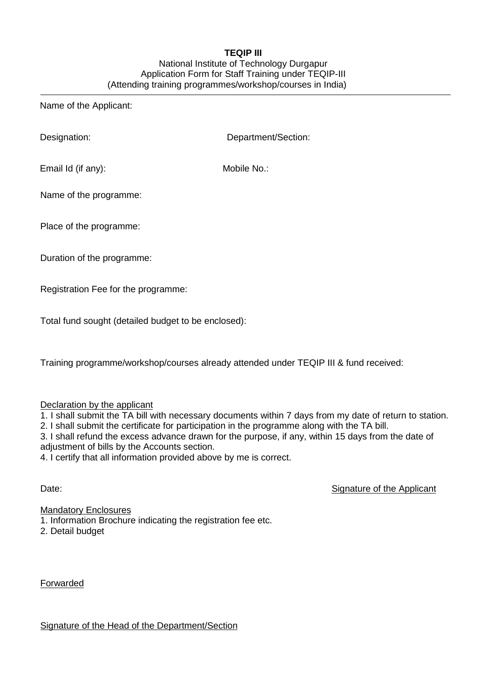## **TEQIP III**

## National Institute of Technology Durgapur Application Form for Staff Training under TEQIP-III (Attending training programmes/workshop/courses in India)

Name of the Applicant:

Designation: Department/Section:

Email Id (if any): Mobile No.:

Name of the programme:

Place of the programme:

Duration of the programme:

Registration Fee for the programme:

Total fund sought (detailed budget to be enclosed):

Training programme/workshop/courses already attended under TEQIP III & fund received:

## Declaration by the applicant

1. I shall submit the TA bill with necessary documents within 7 days from my date of return to station.

2. I shall submit the certificate for participation in the programme along with the TA bill.

3. I shall refund the excess advance drawn for the purpose, if any, within 15 days from the date of adjustment of bills by the Accounts section.

4. I certify that all information provided above by me is correct.

Date: Signature of the Applicant

Mandatory Enclosures

1. Information Brochure indicating the registration fee etc.

2. Detail budget

Forwarded

Signature of the Head of the Department/Section